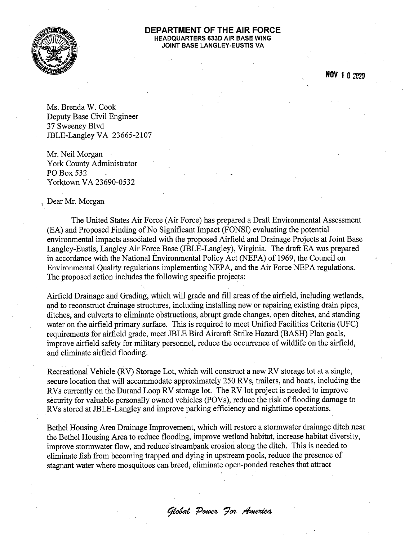

## DEPARTMENT OF THE AIR FORCE **HEADQUARTERS 633D AIR BASE WING** JOINT BASE LANGLEY-EUSTIS VA

NOV 1 0 2020

Ms. Brenda W. Cook Deputy Base Civil Engineer 37 Sweeney Blvd JBLE-Langley VA 23665-2107

Mr. Neil Morgan York County Administrator PO Box 532 Yorktown VA 23690-0532

## Dear Mr. Morgan

The United States Air Force (Air Force) has prepared a Draft Environmental Assessment (EA) and Proposed Finding of No Significant Impact (FONSI) evaluating the potential environmental impacts associated with the proposed Airfield and Drainage Projects at Joint Base Langley-Eustis, Langley Air Force Base (JBLE-Langley), Virginia. The draft EA was prepared in accordance with the National Environmental Policy Act (NEPA) of 1969, the Council on Environmental Quality regulations implementing NEPA, and the Air Force NEPA regulations. The proposed action includes the following specific projects:

Airfield Drainage and Grading, which will grade and fill areas of the airfield, including wetlands, and to reconstruct drainage structures, including installing new or repairing existing drain pipes, ditches, and culverts to eliminate obstructions, abrupt grade changes, open ditches, and standing water on the airfield primary surface. This is required to meet Unified Facilities Criteria (UFC) requirements for airfield grade, meet JBLE Bird Aircraft Strike Hazard (BASH) Plan goals, improve airfield safety for military personnel, reduce the occurrence of wildlife on the airfield, and eliminate airfield flooding.

Recreational Vehicle (RV) Storage Lot, which will construct a new RV storage lot at a single, secure location that will accommodate approximately 250 RVs, trailers, and boats, including the RVs currently on the Durand Loop RV storage lot. The RV lot project is needed to improve security for valuable personally owned vehicles (POVs), reduce the risk of flooding damage to RVs stored at JBLE-Langley and improve parking efficiency and nighttime operations.

Bethel Housing Area Drainage Improvement, which will restore a stormwater drainage ditch near the Bethel Housing Area to reduce flooding, improve wetland habitat, increase habitat diversity, improve stormwater flow, and reduce streambank erosion along the ditch. This is needed to eliminate fish from becoming trapped and dying in upstream pools, reduce the presence of stagnant water where mosquitoes can breed, eliminate open-ponded reaches that attract

Global Power For America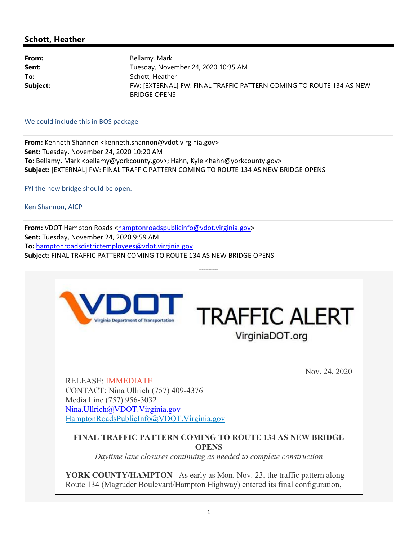## **Schott, Heather**

| From:    | Bellamy, Mark                                                                              |
|----------|--------------------------------------------------------------------------------------------|
| Sent:    | Tuesday, November 24, 2020 10:35 AM                                                        |
| To:      | Schott, Heather                                                                            |
| Subject: | FW: [EXTERNAL] FW: FINAL TRAFFIC PATTERN COMING TO ROUTE 134 AS NEW<br><b>BRIDGE OPENS</b> |

We could include this in BOS package

**From:** Kenneth Shannon <kenneth.shannon@vdot.virginia.gov> **Sent:** Tuesday, November 24, 2020 10:20 AM To: Bellamy, Mark <bellamy@yorkcounty.gov>; Hahn, Kyle <hahn@yorkcounty.gov> **Subject:** [EXTERNAL] FW: FINAL TRAFFIC PATTERN COMING TO ROUTE 134 AS NEW BRIDGE OPENS

FYI the new bridge should be open.

Ken Shannon, AICP

From: VDOT Hampton Roads <hamptonroadspublicinfo@vdot.virginia.gov> **Sent:** Tuesday, November 24, 2020 9:59 AM **To:** hamptonroadsdistrictemployees@vdot.virginia.gov **Subject:** FINAL TRAFFIC PATTERN COMING TO ROUTE 134 AS NEW BRIDGE OPENS

Daytime lane closures continuing as needed to complete construction